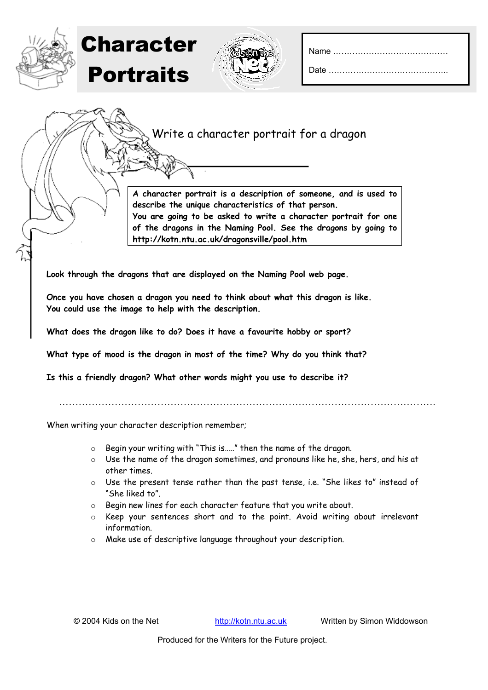|--|--|

Write a character portrait for a dragon

**A character portrait is a description of someone, and is used to describe the unique characteristics of that person. You are going to be asked to write a character portrait for one of the dragons in the Naming Pool. See the dragons by going to http://kotn.ntu.ac.uk/dragonsville/pool.htm** 

**Look through the dragons that are displayed on the Naming Pool web page.** 

**Once you have chosen a dragon you need to think about what this dragon is like. You could use the image to help with the description.** 

**What does the dragon like to do? Does it have a favourite hobby or sport?** 

**What type of mood is the dragon in most of the time? Why do you think that?** 

**Is this a friendly dragon? What other words might you use to describe it?**

…………………………………………………………………………………………………….

When writing your character description remember;

Character

Portraits

- o Begin your writing with "This is….." then the name of the dragon.
- o Use the name of the dragon sometimes, and pronouns like he, she, hers, and his at other times.
- o Use the present tense rather than the past tense, i.e. "She likes to" instead of "She liked to".
- o Begin new lines for each character feature that you write about.
- o Keep your sentences short and to the point. Avoid writing about irrelevant information.
- o Make use of descriptive language throughout your description.